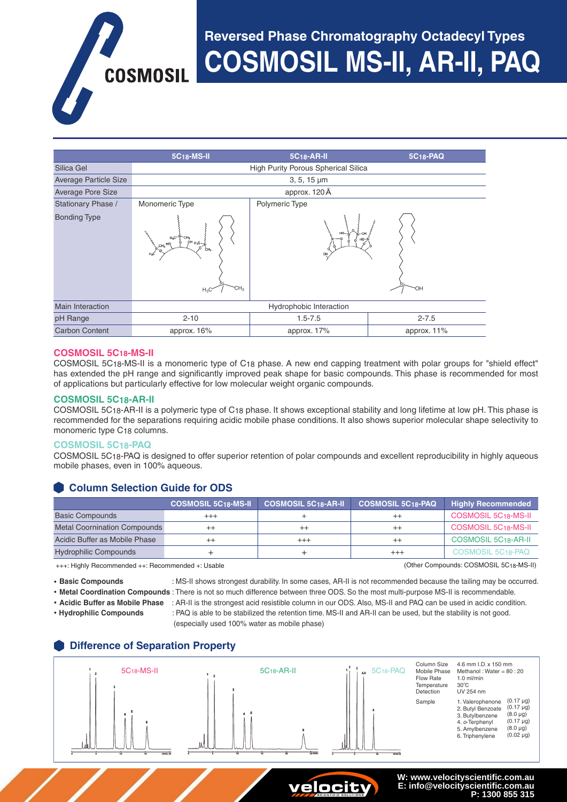# **Reversed Phase Chromatography Octadecyl Types COSMOSIL MS-II, AR-II, PAQ**

**5C18-MS-II 5C18-AR-II 5C18-PAQ** Silica Gel **High Purity Porous Spherical Silica** Silica Average Particle Size 3, 5, 15 μm Average Pore Size and Contract approx. 120 Å Stationary Phase / Bonding Type Monomeric Type Polymeric Type Main Interaction **Main Interaction** Hydrophobic Interaction pH Range 2-10 2-10 2-10 2-10 2-7.5 2-7.5 Carbon Content **approx. 16%** approx. 17% approx. 17% approx. 11% Si  $H_3C$   $CH_3$   $CH_3$ 

#### **COSMOSIL 5C18-MS-II**

COSMOSIL 5C18-MS-II is a monomeric type of C18 phase. A new end capping treatment with polar groups for "shield effect" has extended the pH range and significantly improved peak shape for basic compounds. This phase is recommended for most of applications but particularly effective for low molecular weight organic compounds.

#### **COSMOSIL 5C18-AR-II**

COSMOSIL 5C18-AR-II is a polymeric type of C18 phase. It shows exceptional stability and long lifetime at low pH. This phase is recommended for the separations requiring acidic mobile phase conditions. It also shows superior molecular shape selectivity to monomeric type C18 columns.

#### **COSMOSIL 5C18-PAQ**

COSMOSIL 5C18-PAQ is designed to offer superior retention of polar compounds and excellent reproducibility in highly aqueous mobile phases, even in 100% aqueous.

# **Column Selection Guide for ODS**

**COSMOSIL** 

|                                     | <b>COSMOSIL 5C18-MS-II</b> | <b>COSMOSIL 5C18-AR-II</b> | <b>COSMOSIL 5C18-PAQ</b> | Highly Recommended               |
|-------------------------------------|----------------------------|----------------------------|--------------------------|----------------------------------|
| <b>Basic Compounds</b>              | $^{+++}$                   |                            |                          | COSMOSIL 5C18-MS-II              |
| <b>Metal Coornination Compounds</b> | $^{++}$                    | $^{++}$                    |                          | <b>COSMOSIL 5C18-MS-II</b>       |
| Acidic Buffer as Mobile Phase       | $^{++}$                    | $^{+++}$                   | $^{++}$                  | COSMOSIL 5C <sub>18</sub> -AR-II |
| <b>Hydrophilic Compounds</b>        |                            |                            | $^{+++}$                 | COSMOSIL 5C <sub>18</sub> -PAQ   |

+++: Highly Recommended ++: Recommended +: Usable (Other Compounds: COSMOSIL 5C18-MS-II)

• **Basic Compounds** : MS-II shows strongest durability. In some cases, AR-II is not recommended because the tailing may be occurred.

• **Metal Coordination Compounds** : There is not so much difference between three ODS. So the most multi-purpose MS-II is recommendable.

• **Acidic Buffer as Mobile Phase** : AR-II is the strongest acid resistible column in our ODS. Also, MS-II and PAQ can be used in acidic condition. • **Hydrophilic Compounds** : PAQ is able to be stabilized the retention time. MS-II and AR-II can be used, but the stability is not good. (especially used 100% water as mobile phase)

# **Difference of Separation Property**





**W: www.velocityscientific.com.au E: info@velocityscientific.com.au P: 1300 855 315**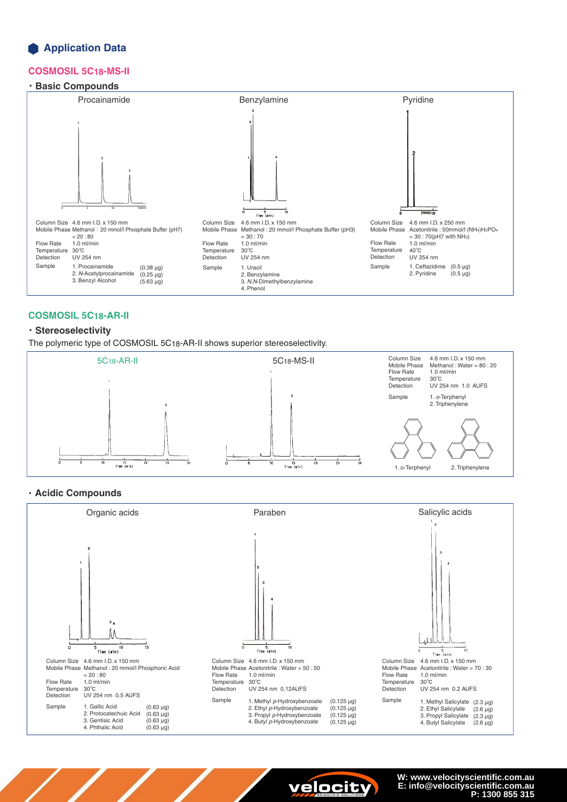## **Application Data**

#### **COSMOSIL 5C18-MS-II**

### ・**Basic Compounds**



#### **COSMOSIL 5C18-AR-II**

#### ・**Stereoselectivity**

The polymeric type of COSMOSIL 5C18-AR-II shows superior stereoselectivity.



#### ・**Acidic Compounds**





**W: www.velocityscientific.com.au E: info@velocityscientific.com.au P: 1300 855 315**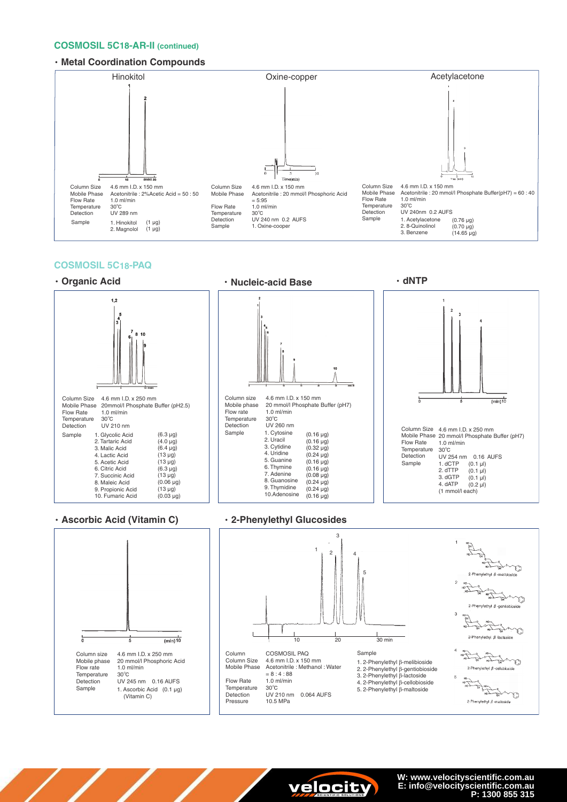#### **COSMOSIL 5C18-AR-II (continued)**

#### ・**Metal Coordination Compounds**



#### **COSMOSIL 5C18-PAQ**



#### ・**Ascorbic Acid (Vitamin C)** ・**2-Phenylethyl Glucosides**







**W: www.velocityscientific.com.au E: info@velocityscientific.com.au P: 1300 855 315**